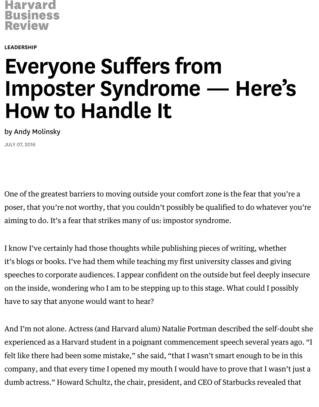# [Everyo](https://hbr.org/)ne Suffers from Imposter Syndrome - Her [How](https://hbr.org/topic/leadership) to Handle It

by Andy Molinsky

JULY 07, 2016

O[ne of the greate](https://hbr.org/search?term=andy+molinsky)st barriers to moving outside your comfort zone is the fear that poser, that you're not worthy, that you couldn't possibly be qualified to do what aiming to do. It's a fear that strikes many of us: impostor syndrome.

I know I've certainly had those thoughts while publishing pieces of writing, whe it's blogs or books. I've had them while teaching my first university classes and speeches to corporate audiences. I appear confi[dent on the outside](https://en.wikipedia.org/wiki/Impostor_syndrome) but feel deep on the inside, wondering who I am to be stepping up to this stage. What could I have to say that anyone would want to hear?

And I'm not alone. Actress (and Harvard alum) Natalie Portman described the se experienced as a Harvard student in a poignant commencement speech several felt like there had been some mistake," she said, "that I wasn't smart enough to company, and that every time I opened my mouth I would have to prove that I v dumb actress." Howard Schultz, the chair, president, and CEO of Starbucks reve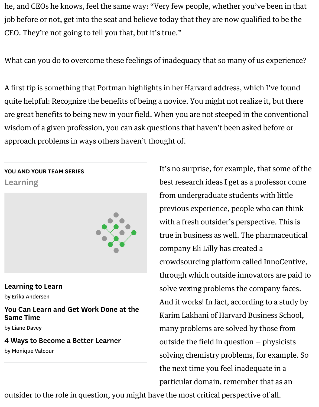What can you do to ove[rcome these feeling](http://www.nytimes.com/2010/10/10/business/10corner.html?_r=1)s of inadequacy that so many of us experience.

A first tip is something that Portman highlights in her Harvard address, which I' quite helpful: Recognize the benefits of being a novice. You might not realize it, are great benefits to being new in your field. When you are not steeped in the co wisdom of a given profession, you can ask questions that haven't been asked be approach problems in ways others haven't thought of.

# YOU AND YOUR TEAM SERIES





## Learning to Learn

by Erika Andersen

## You Can Learn and Get Work Done at the Same Time

by Liane Davey

### [4 Ways to Become](https://hbr.org/2016/03/learning-to-learn) a Better Learner

by Monique Valcour

It's no surprise, for example, that best research ideas I get as a profe from undergraduate students wit previous experience, people who with a fresh outsider's perspectiv true in business as well. The phar company Eli Lilly has created a crowdsourcing platform called In through which outside innovator solve vexing problems the compa And it works! In fact, according to Karim Lakhani of Harvard Busine many problems are solved by tho outside the field in question  $-$  ph solving chemistry problems, for ex[ample.](http://www.hbs.edu/faculty/Publication%20Files/07-050.pdf) the next time you feel inadequate particular domain, remember that

[outsider to the role in question, you](https://hbr.org/2015/12/4-ways-to-become-a-better-learner) might have the most critical perspective of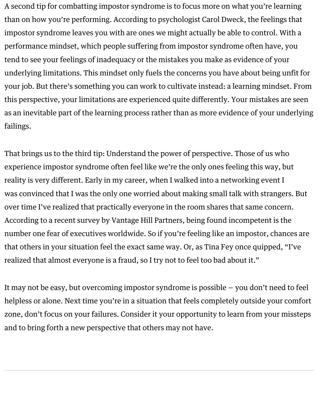tend to see your feelings of inadequacy or the mistakes you make as evidence of underlying limitations. This mindset only fuels the concerns you have about being your job. But there's something you can work to cultivate instead: a learning mi this perspective, your limitations are experienced quite differently. Your mistak as an inevitable part of the learning process rather than as more evidence of you failings.

That brings us to the third tip: Understand the power of perspective. Those of us experience impostor syndrome often feel like we're the only ones feeling this w reality is very different. Early in my career, when I walked into a networking eve was convinced that I was the only one worried about making small talk with strangers. over time I've realized that practically everyone in the room shares that same concern. According to a recent survey by Vantage Hill Partners, being found incompetent number one fear of executives worldwide. So if you're feeling like an impostor, that others in your situation feel the exact same way. Or, as Tina Fey once quipp realized that almost everyone is a fraud, so I try not to feel too bad about it."

It may not be easy, but overcoming impostor syndrome is possible  $-$  you don't need helpless or alone. Next time you're in a situation that feels completely outside y zone, don't focus on your failures. Consider it your opportunity to learn from yo and to bring forth a new perspective that others may not have.